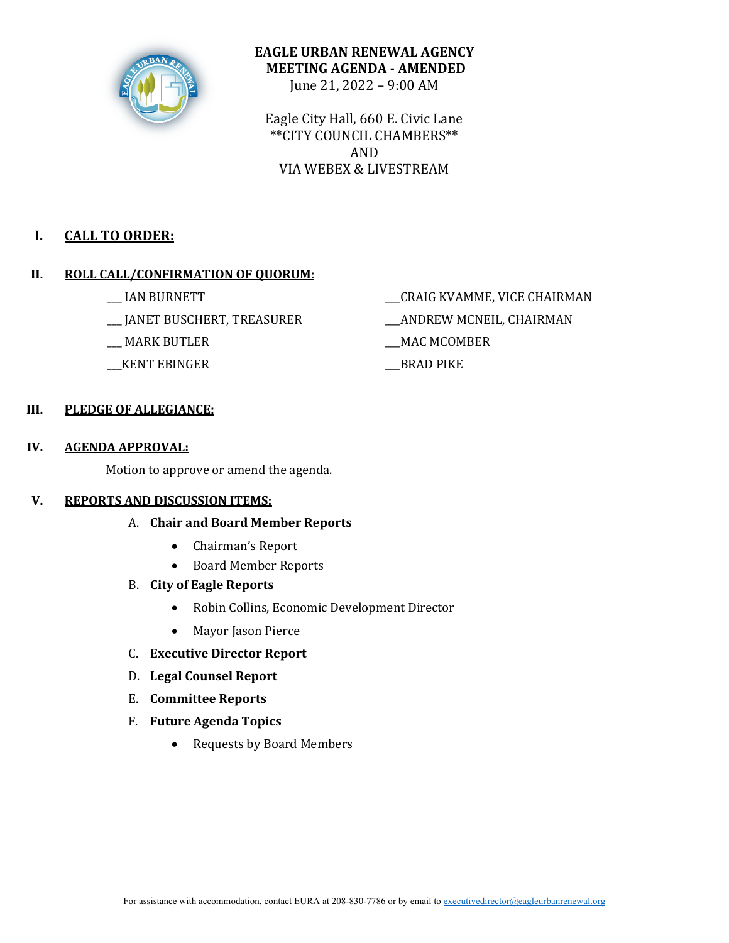

### **EAGLE URBAN RENEWAL AGENCY MEETING AGENDA - AMENDED** June 21, 2022 – 9:00 AM

Eagle City Hall, 660 E. Civic Lane \*\*CITY COUNCIL CHAMBERS\*\*

AND VIA WEBEX & LIVESTREAM

# **I. CALL TO ORDER:**

## **II.** ROLL CALL/CONFIRMATION OF OUORUM:

- 
- \_\_\_ JANET BUSCHERT, TREASURER \_\_\_ANDREW MCNEIL, CHAIRMAN
- 
- \_\_\_KENT EBINGER \_\_\_BRAD PIKE
- \_\_\_ IAN BURNETT \_\_\_CRAIG KVAMME, VICE CHAIRMAN
	-
- \_\_\_ MARK BUTLER \_\_\_MAC MCOMBER
	-

## **III. PLEDGE OF ALLEGIANCE:**

### **IV. AGENDA APPROVAL:**

Motion to approve or amend the agenda.

### **V.** REPORTS AND DISCUSSION ITEMS:

- A. **Chair and Board Member Reports**
	- Chairman's Report
	- Board Member Reports
- B. **City of Eagle Reports**
	- Robin Collins, Economic Development Director
	- Mayor Jason Pierce
- C. **Executive Director Report**
- D. **Legal Counsel Report**
- E. **Committee Reports**
- F. **Future Agenda Topics**
	- Requests by Board Members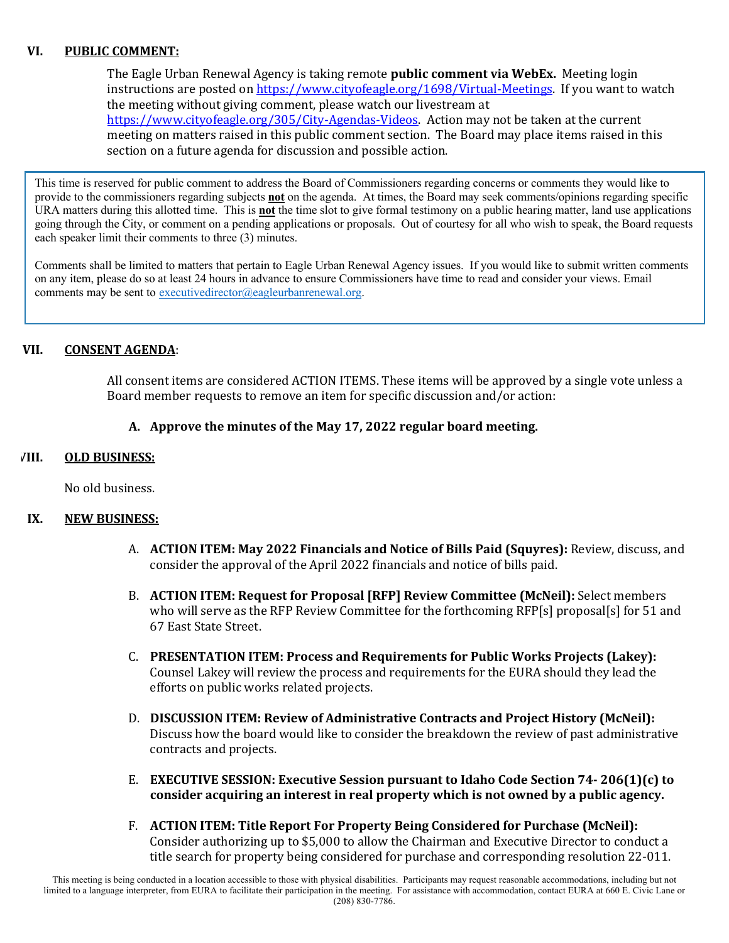#### VI. **PUBLIC COMMENT:**

The Eagle Urban Renewal Agency is taking remote **public comment via WebEx.** Meeting login instructions are posted on https://www.cityofeagle.org/1698/Virtual-Meetings. If you want to watch the meeting without giving comment, please watch our livestream at https://www.cityofeagle.org/305/City-Agendas-Videos. Action may not be taken at the current meeting on matters raised in this public comment section. The Board may place items raised in this section on a future agenda for discussion and possible action.

This time is reserved for public comment to address the Board of Commissioners regarding concerns or comments they would like to provide to the commissioners regarding subjects **not** on the agenda. At times, the Board may seek comments/opinions regarding specific URA matters during this allotted time. This is **not** the time slot to give formal testimony on a public hearing matter, land use applications going through the City, or comment on a pending applications or proposals. Out of courtesy for all who wish to speak, the Board requests each speaker limit their comments to three (3) minutes.

Comments shall be limited to matters that pertain to Eagle Urban Renewal Agency issues. If you would like to submit written comments on any item, please do so at least 24 hours in advance to ensure Commissioners have time to read and consider your views. Email comments may be sent to executivedirector@eagleurbanrenewal.org.

#### **VII. CONSENT AGENDA:**

All consent items are considered ACTION ITEMS. These items will be approved by a single vote unless a Board member requests to remove an item for specific discussion and/or action:

#### **A. Approve the minutes of the May 17, 2022 regular board meeting.**

#### **VIII. OLD BUSINESS:**

No old business.

#### **IX. NEW BUSINESS:**

- A. **ACTION ITEM: May 2022 Financials and Notice of Bills Paid (Squyres):** Review, discuss, and consider the approval of the April 2022 financials and notice of bills paid.
- B. **ACTION ITEM: Request for Proposal [RFP] Review Committee (McNeil):** Select members who will serve as the RFP Review Committee for the forthcoming RFP[s] proposal[s] for 51 and 67 East State Street.
- C. **PRESENTATION ITEM: Process and Requirements for Public Works Projects (Lakey):** Counsel Lakey will review the process and requirements for the EURA should they lead the efforts on public works related projects.
- D. DISCUSSION ITEM: Review of Administrative Contracts and Project History (McNeil): Discuss how the board would like to consider the breakdown the review of past administrative contracts and projects.
- E. **EXECUTIVE SESSION: Executive Session pursuant to Idaho Code Section 74-206(1)(c) to** consider acquiring an interest in real property which is not owned by a public agency.
- F. **ACTION ITEM: Title Report For Property Being Considered for Purchase (McNeil):** Consider authorizing up to \$5,000 to allow the Chairman and Executive Director to conduct a title search for property being considered for purchase and corresponding resolution 22-011.